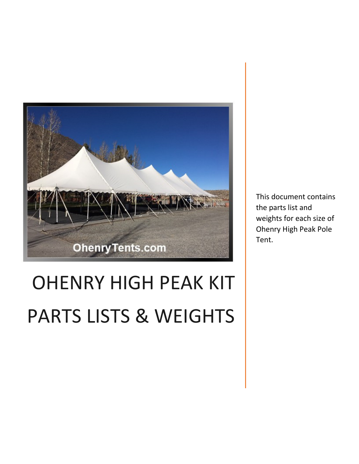

# OHENRY HIGH PEAK KIT PARTS LISTS & WEIGHTS

This document contains the parts list and weights for each size of Ohenry High Peak Pole Tent.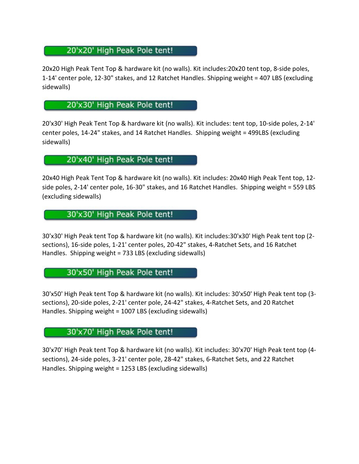# 20'x20' High Peak Pole tent!

20x20 High Peak Tent Top & hardware kit (no walls). Kit includes:20x20 tent top, 8-side poles, 1-14' center pole, 12-30" stakes, and 12 Ratchet Handles. Shipping weight = 407 LBS (excluding sidewalls)

## 20'x30' High Peak Pole tent!

20'x30' High Peak Tent Top & hardware kit (no walls). Kit includes: tent top, 10-side poles, 2-14' center poles, 14-24" stakes, and 14 Ratchet Handles. Shipping weight = 499LBS (excluding sidewalls)

## 20'x40' High Peak Pole tent!

20x40 High Peak Tent Top & hardware kit (no walls). Kit includes: 20x40 High Peak Tent top, 12 side poles, 2-14' center pole, 16-30" stakes, and 16 Ratchet Handles. Shipping weight = 559 LBS (excluding sidewalls)

# 30'x30' High Peak Pole tent!

30'x30' High Peak tent Top & hardware kit (no walls). Kit includes:30'x30' High Peak tent top (2 sections), 16-side poles, 1-21' center poles, 20-42" stakes, 4-Ratchet Sets, and 16 Ratchet Handles. Shipping weight = 733 LBS (excluding sidewalls)

#### 30'x50' High Peak Pole tent!

30'x50' High Peak tent Top & hardware kit (no walls). Kit includes: 30'x50' High Peak tent top (3 sections), 20-side poles, 2-21' center pole, 24-42" stakes, 4-Ratchet Sets, and 20 Ratchet Handles. Shipping weight = 1007 LBS (excluding sidewalls)

# 30'x70' High Peak Pole tent!

30'x70' High Peak tent Top & hardware kit (no walls). Kit includes: 30'x70' High Peak tent top (4 sections), 24-side poles, 3-21' center pole, 28-42" stakes, 6-Ratchet Sets, and 22 Ratchet Handles. Shipping weight = 1253 LBS (excluding sidewalls)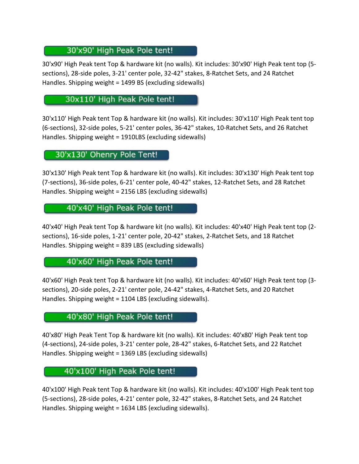# 30'x90' High Peak Pole tent!

30'x90' High Peak tent Top & hardware kit (no walls). Kit includes: 30'x90' High Peak tent top (5 sections), 28-side poles, 3-21' center pole, 32-42" stakes, 8-Ratchet Sets, and 24 Ratchet Handles. Shipping weight = 1499 BS (excluding sidewalls)

# 30x110' High Peak Pole tent!

30'x110' High Peak tent Top & hardware kit (no walls). Kit includes: 30'x110' High Peak tent top (6-sections), 32-side poles, 5-21' center poles, 36-42" stakes, 10-Ratchet Sets, and 26 Ratchet Handles. Shipping weight = 1910LBS (excluding sidewalls)

30'x130' Ohenry Pole Tent!

30'x130' High Peak tent Top & hardware kit (no walls). Kit includes: 30'x130' High Peak tent top (7-sections), 36-side poles, 6-21' center pole, 40-42" stakes, 12-Ratchet Sets, and 28 Ratchet Handles. Shipping weight = 2156 LBS (excluding sidewalls)

## 40'x40' High Peak Pole tent!

40'x40' High Peak tent Top & hardware kit (no walls). Kit includes: 40'x40' High Peak tent top (2 sections), 16-side poles, 1-21' center pole, 20-42" stakes, 2-Ratchet Sets, and 18 Ratchet Handles. Shipping weight = 839 LBS (excluding sidewalls)

#### 40'x60' High Peak Pole tent!

40'x60' High Peak tent Top & hardware kit (no walls). Kit includes: 40'x60' High Peak tent top (3 sections), 20-side poles, 2-21' center pole, 24-42" stakes, 4-Ratchet Sets, and 20 Ratchet Handles. Shipping weight = 1104 LBS (excluding sidewalls).

#### 40'x80' High Peak Pole tent!

40'x80' High Peak Tent Top & hardware kit (no walls). Kit includes: 40'x80' High Peak tent top (4-sections), 24-side poles, 3-21' center pole, 28-42" stakes, 6-Ratchet Sets, and 22 Ratchet Handles. Shipping weight = 1369 LBS (excluding sidewalls)

# 40'x100' High Peak Pole tent!

40'x100' High Peak tent Top & hardware kit (no walls). Kit includes: 40'x100' High Peak tent top (5-sections), 28-side poles, 4-21' center pole, 32-42" stakes, 8-Ratchet Sets, and 24 Ratchet Handles. Shipping weight = 1634 LBS (excluding sidewalls).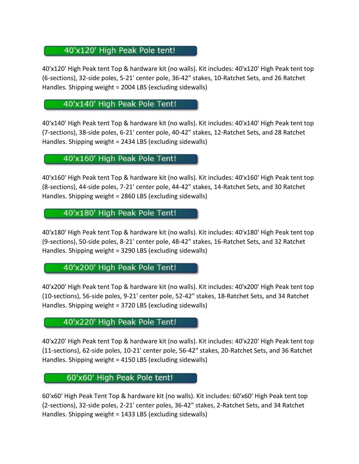# 40'x120' High Peak Pole tent!

40'x120' High Peak tent Top & hardware kit (no walls). Kit includes: 40'x120' High Peak tent top (6-sections), 32-side poles, 5-21' center pole, 36-42" stakes, 10-Ratchet Sets, and 26 Ratchet Handles. Shipping weight = 2004 LBS (excluding sidewalls)

#### 40'x140' High Peak Pole Tent!

40'x140' High Peak tent Top & hardware kit (no walls). Kit includes: 40'x140' High Peak tent top (7-sections), 38-side poles, 6-21' center pole, 40-42" stakes, 12-Ratchet Sets, and 28 Ratchet Handles. Shipping weight = 2434 LBS (excluding sidewalls)

#### 40'x160' High Peak Pole Tent!

40'x160' High Peak tent Top & hardware kit (no walls). Kit includes: 40'x160' High Peak tent top (8-sections), 44-side poles, 7-21' center pole, 44-42" stakes, 14-Ratchet Sets, and 30 Ratchet Handles. Shipping weight = 2860 LBS (excluding sidewalls)

40'x180' High Peak Pole Tent!

40'x180' High Peak tent Top & hardware kit (no walls). Kit includes: 40'x180' High Peak tent top (9-sections), 50-side poles, 8-21' center pole, 48-42" stakes, 16-Ratchet Sets, and 32 Ratchet Handles. Shipping weight = 3290 LBS (excluding sidewalls)

40'x200' High Peak Pole Tent!

40'x200' High Peak tent Top & hardware kit (no walls). Kit includes: 40'x200' High Peak tent top (10-sections), 56-side poles, 9-21' center pole, 52-42" stakes, 18-Ratchet Sets, and 34 Ratchet Handles. Shipping weight = 3720 LBS (excluding sidewalls)

#### 40'x220' High Peak Pole Tent!

40'x220' High Peak tent Top & hardware kit (no walls). Kit includes: 40'x220' High Peak tent top (11-sections), 62-side poles, 10-21' center pole, 56-42" stakes, 20-Ratchet Sets, and 36 Ratchet Handles. Shipping weight = 4150 LBS (excluding sidewalls)

# 60'x60' High Peak Pole tent!

60'x60' High Peak Tent Top & hardware kit (no walls). Kit includes: 60'x60' High Peak tent top (2-sections), 32-side poles, 2-21' center poles, 36-42" stakes, 2-Ratchet Sets, and 34 Ratchet Handles. Shipping weight = 1433 LBS (excluding sidewalls)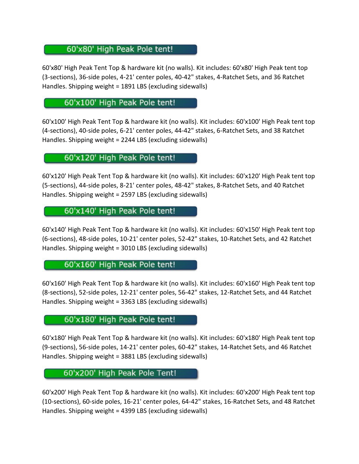# 60'x80' High Peak Pole tent!

60'x80' High Peak Tent Top & hardware kit (no walls). Kit includes: 60'x80' High Peak tent top (3-sections), 36-side poles, 4-21' center poles, 40-42" stakes, 4-Ratchet Sets, and 36 Ratchet Handles. Shipping weight = 1891 LBS (excluding sidewalls)

# 60'x100' High Peak Pole tent!

60'x100' High Peak Tent Top & hardware kit (no walls). Kit includes: 60'x100' High Peak tent top (4-sections), 40-side poles, 6-21' center poles, 44-42" stakes, 6-Ratchet Sets, and 38 Ratchet Handles. Shipping weight = 2244 LBS (excluding sidewalls)

# 60'x120' High Peak Pole tent!

60'x120' High Peak Tent Top & hardware kit (no walls). Kit includes: 60'x120' High Peak tent top (5-sections), 44-side poles, 8-21' center poles, 48-42" stakes, 8-Ratchet Sets, and 40 Ratchet Handles. Shipping weight = 2597 LBS (excluding sidewalls)

## 60'x140' High Peak Pole tent!

60'x140' High Peak Tent Top & hardware kit (no walls). Kit includes: 60'x150' High Peak tent top (6-sections), 48-side poles, 10-21' center poles, 52-42" stakes, 10-Ratchet Sets, and 42 Ratchet Handles. Shipping weight = 3010 LBS (excluding sidewalls)

#### 60'x160' High Peak Pole tent!

60'x160' High Peak Tent Top & hardware kit (no walls). Kit includes: 60'x160' High Peak tent top (8-sections), 52-side poles, 12-21' center poles, 56-42" stakes, 12-Ratchet Sets, and 44 Ratchet Handles. Shipping weight = 3363 LBS (excluding sidewalls)

#### 60'x180' High Peak Pole tent!

60'x180' High Peak Tent Top & hardware kit (no walls). Kit includes: 60'x180' High Peak tent top (9-sections), 56-side poles, 14-21' center poles, 60-42" stakes, 14-Ratchet Sets, and 46 Ratchet Handles. Shipping weight = 3881 LBS (excluding sidewalls)

#### 60'x200' High Peak Pole Tent!

60'x200' High Peak Tent Top & hardware kit (no walls). Kit includes: 60'x200' High Peak tent top (10-sections), 60-side poles, 16-21' center poles, 64-42" stakes, 16-Ratchet Sets, and 48 Ratchet Handles. Shipping weight = 4399 LBS (excluding sidewalls)